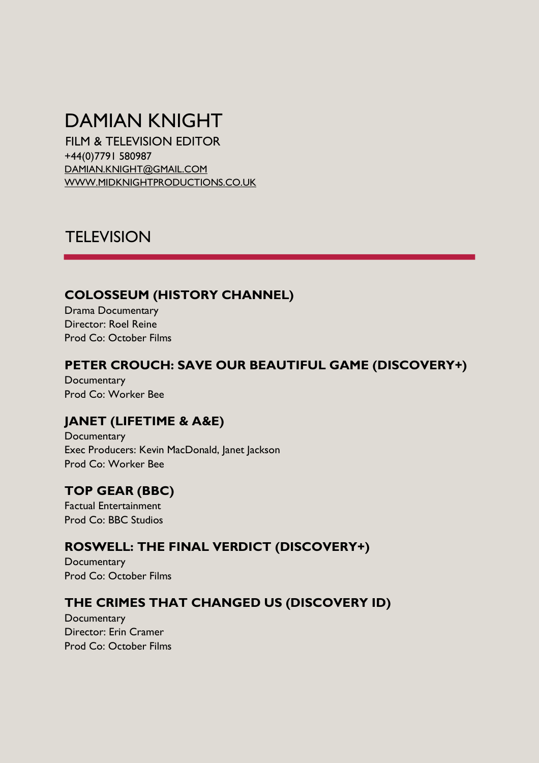# DAMIAN KNIGHT

FILM & TELEVISION EDITOR +44(0)7791 580987 DAMIAN.KNIGHT@GMAIL.COM [WWW.MIDKNIGHTPRODUCTIONS.CO.UK](http://www.midknightproductions.co.uk/)

# **TELEVISION**

#### **COLOSSEUM (HISTORY CHANNEL)**

Drama Documentary Director: Roel Reine Prod Co: October Films

#### **PETER CROUCH: SAVE OUR BEAUTIFUL GAME (DISCOVERY+)**

**Documentary** Prod Co: Worker Bee

### **JANET (LIFETIME & A&E)**

**Documentary** Exec Producers: Kevin MacDonald, Janet Jackson Prod Co: Worker Bee

# **TOP GEAR (BBC)**

Factual Entertainment Prod Co: BBC Studios

### **ROSWELL: THE FINAL VERDICT (DISCOVERY+)**

**Documentary** Prod Co: October Films

### **THE CRIMES THAT CHANGED US (DISCOVERY ID)**

**Documentary** Director: Erin Cramer Prod Co: October Films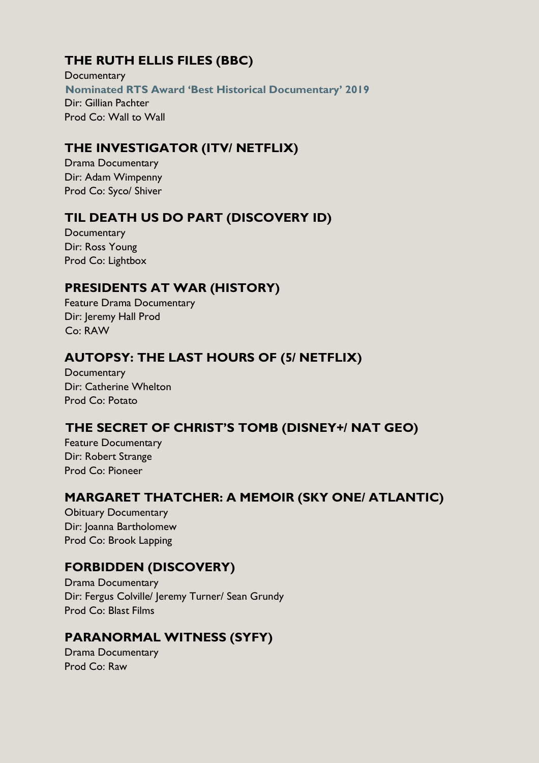# **THE RUTH ELLIS FILES (BBC)**

**Documentary Nominated RTS Award 'Best Historical Documentary' 2019**  Dir: Gillian Pachter Prod Co: Wall to Wall

#### **THE INVESTIGATOR (ITV/ NETFLIX)**

Drama Documentary Dir: Adam Wimpenny Prod Co: Syco/ Shiver

### **TIL DEATH US DO PART (DISCOVERY ID)**

**Documentary** Dir: Ross Young Prod Co: Lightbox

#### **PRESIDENTS AT WAR (HISTORY)**

Feature Drama Documentary Dir: Jeremy Hall Prod Co: RAW

# **AUTOPSY: THE LAST HOURS OF (5/ NETFLIX)**

**Documentary** Dir: Catherine Whelton Prod Co: Potato

### **THE SECRET OF CHRIST'S TOMB (DISNEY+/ NAT GEO)**

Feature Documentary Dir: Robert Strange Prod Co: Pioneer

#### **MARGARET THATCHER: A MEMOIR (SKY ONE/ ATLANTIC)**

Obituary Documentary Dir: Joanna Bartholomew Prod Co: Brook Lapping

### **FORBIDDEN (DISCOVERY)**

Drama Documentary Dir: Fergus Colville/ Jeremy Turner/ Sean Grundy Prod Co: Blast Films

### **PARANORMAL WITNESS (SYFY)**

Drama Documentary Prod Co: Raw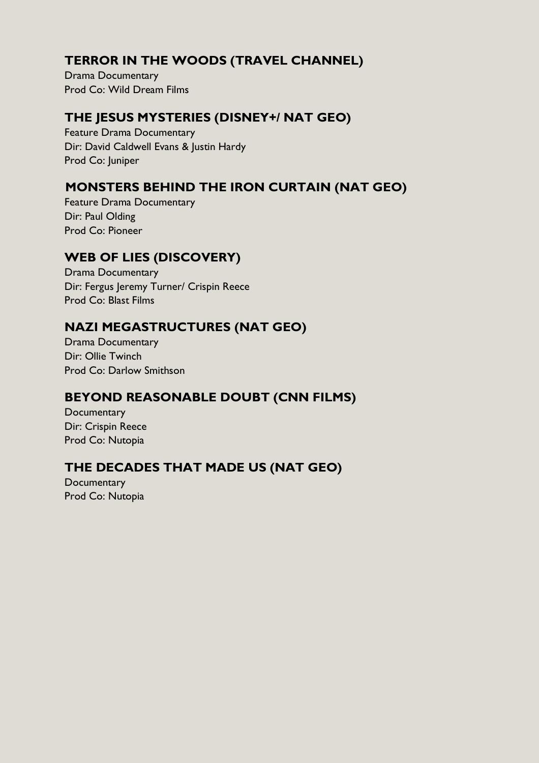## **TERROR IN THE WOODS (TRAVEL CHANNEL)**

Drama Documentary Prod Co: Wild Dream Films

#### **THE JESUS MYSTERIES (DISNEY+/ NAT GEO)**

Feature Drama Documentary Dir: David Caldwell Evans & Justin Hardy Prod Co: Juniper

### **MONSTERS BEHIND THE IRON CURTAIN (NAT GEO)**

Feature Drama Documentary Dir: Paul Olding Prod Co: Pioneer

## **WEB OF LIES (DISCOVERY)**

Drama Documentary Dir: Fergus Jeremy Turner/ Crispin Reece Prod Co: Blast Films

### **NAZI MEGASTRUCTURES (NAT GEO)**

Drama Documentary Dir: Ollie Twinch Prod Co: Darlow Smithson

### **BEYOND REASONABLE DOUBT (CNN FILMS)**

**Documentary** Dir: Crispin Reece Prod Co: Nutopia

### **THE DECADES THAT MADE US (NAT GEO)**

**Documentary** Prod Co: Nutopia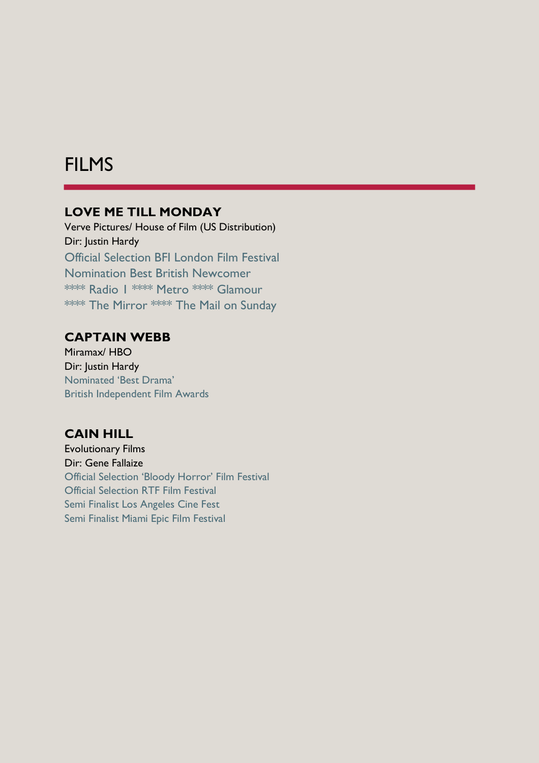# FILMS

#### **LOVE ME TILL MONDAY**

Verve Pictures/ House of Film (US Distribution) Dir: Justin Hardy Official Selection BFI London Film Festival Nomination Best British Newcomer \*\*\*\* Radio 1 \*\*\*\* Metro \*\*\*\* Glamour \*\*\*\* The Mirror \*\*\*\* The Mail on Sunday

#### **CAPTAIN WEBB**

Miramax/ HBO Dir: Justin Hardy Nominated 'Best Drama' British Independent Film Awards

#### **CAIN HILL**

Evolutionary Films Dir: Gene Fallaize Official Selection 'Bloody Horror' Film Festival Official Selection RTF Film Festival Semi Finalist Los Angeles Cine Fest Semi Finalist Miami Epic Film Festival